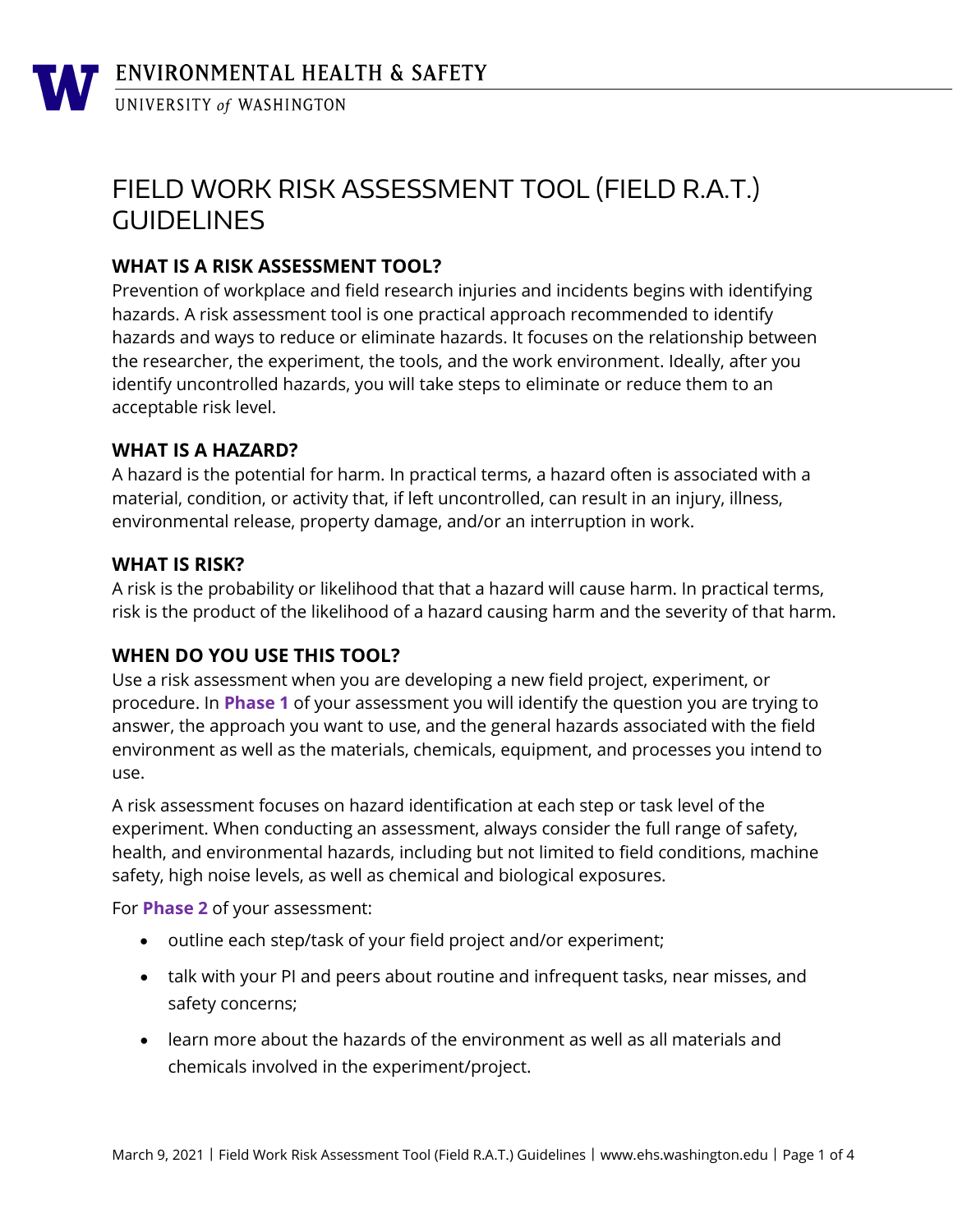# FIELD WORK RISK ASSESSMENT TOOL (FIELD R.A.T.) GUIDELINES

# **WHAT IS A RISK ASSESSMENT TOOL?**

Prevention of workplace and field research injuries and incidents begins with identifying hazards. A risk assessment tool is one practical approach recommended to identify hazards and ways to reduce or eliminate hazards. It focuses on the relationship between the researcher, the experiment, the tools, and the work environment. Ideally, after you identify uncontrolled hazards, you will take steps to eliminate or reduce them to an acceptable risk level.

### **WHAT IS A HAZARD?**

A hazard is the potential for harm. In practical terms, a hazard often is associated with a material, condition, or activity that, if left uncontrolled, can result in an injury, illness, environmental release, property damage, and/or an interruption in work.

### **WHAT IS RISK?**

A risk is the probability or likelihood that that a hazard will cause harm. In practical terms, risk is the product of the likelihood of a hazard causing harm and the severity of that harm.

# **WHEN DO YOU USE THIS TOOL?**

Use a risk assessment when you are developing a new field project, experiment, or procedure. In **Phase 1** of your assessment you will identify the question you are trying to answer, the approach you want to use, and the general hazards associated with the field environment as well as the materials, chemicals, equipment, and processes you intend to use.

A risk assessment focuses on hazard identification at each step or task level of the experiment. When conducting an assessment, always consider the full range of safety, health, and environmental hazards, including but not limited to field conditions, machine safety, high noise levels, as well as chemical and biological exposures.

For **Phase 2** of your assessment:

- outline each step/task of your field project and/or experiment;
- talk with your PI and peers about routine and infrequent tasks, near misses, and safety concerns;
- learn more about the hazards of the environment as well as all materials and chemicals involved in the experiment/project.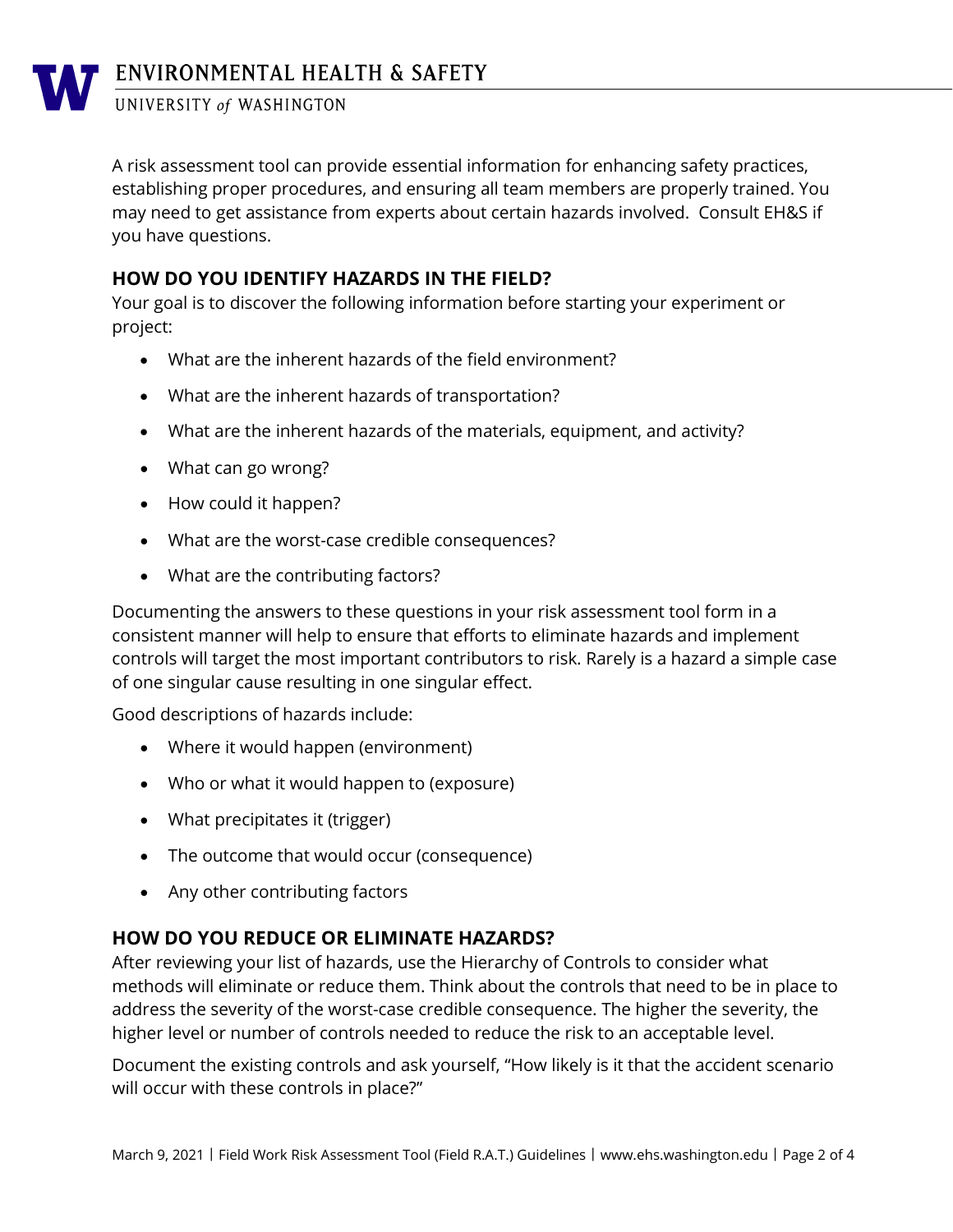UNIVERSITY of WASHINGTON

A risk assessment tool can provide essential information for enhancing safety practices, establishing proper procedures, and ensuring all team members are properly trained. You may need to get assistance from experts about certain hazards involved. Consult EH&S if you have questions.

### **HOW DO YOU IDENTIFY HAZARDS IN THE FIELD?**

Your goal is to discover the following information before starting your experiment or project:

- What are the inherent hazards of the field environment?
- What are the inherent hazards of transportation?
- What are the inherent hazards of the materials, equipment, and activity?
- What can go wrong?
- How could it happen?
- What are the worst-case credible consequences?
- What are the contributing factors?

Documenting the answers to these questions in your risk assessment tool form in a consistent manner will help to ensure that efforts to eliminate hazards and implement controls will target the most important contributors to risk. Rarely is a hazard a simple case of one singular cause resulting in one singular effect.

Good descriptions of hazards include:

- Where it would happen (environment)
- Who or what it would happen to (exposure)
- What precipitates it (trigger)
- The outcome that would occur (consequence)
- Any other contributing factors

### **HOW DO YOU REDUCE OR ELIMINATE HAZARDS?**

After reviewing your list of hazards, use the Hierarchy of Controls to consider what methods will eliminate or reduce them. Think about the controls that need to be in place to address the severity of the worst-case credible consequence. The higher the severity, the higher level or number of controls needed to reduce the risk to an acceptable level.

Document the existing controls and ask yourself, "How likely is it that the accident scenario will occur with these controls in place?"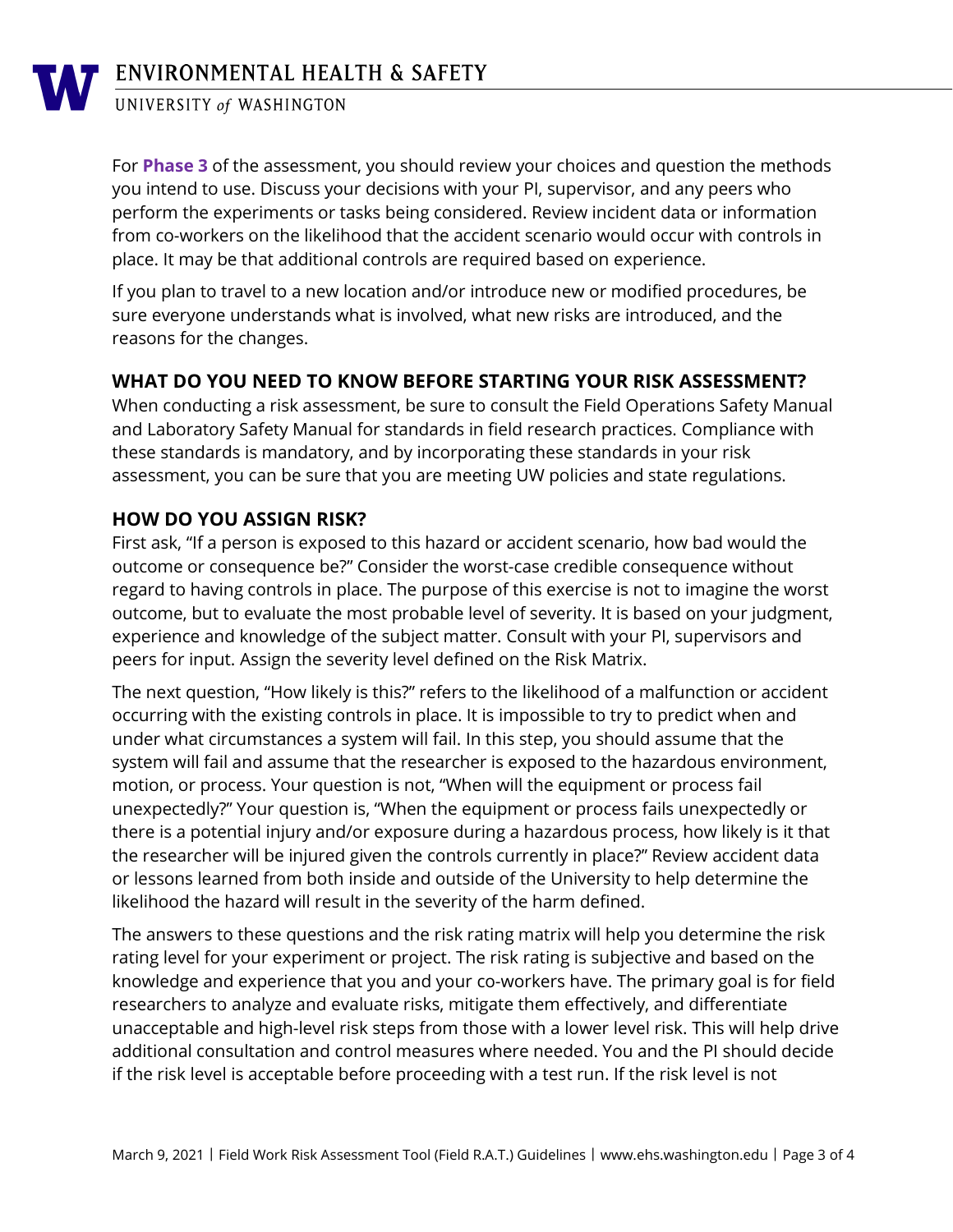

# ENVIRONMENTAL HEALTH & SAFETY

### UNIVERSITY of WASHINGTON

For **Phase 3** of the assessment, you should review your choices and question the methods you intend to use. Discuss your decisions with your PI, supervisor, and any peers who perform the experiments or tasks being considered. Review incident data or information from co-workers on the likelihood that the accident scenario would occur with controls in place. It may be that additional controls are required based on experience.

If you plan to travel to a new location and/or introduce new or modified procedures, be sure everyone understands what is involved, what new risks are introduced, and the reasons for the changes.

### **WHAT DO YOU NEED TO KNOW BEFORE STARTING YOUR RISK ASSESSMENT?**

When conducting a risk assessment, be sure to consult the Field Operations Safety Manual and Laboratory Safety Manual for standards in field research practices. Compliance with these standards is mandatory, and by incorporating these standards in your risk assessment, you can be sure that you are meeting UW policies and state regulations.

### **HOW DO YOU ASSIGN RISK?**

First ask, "If a person is exposed to this hazard or accident scenario, how bad would the outcome or consequence be?" Consider the worst-case credible consequence without regard to having controls in place. The purpose of this exercise is not to imagine the worst outcome, but to evaluate the most probable level of severity. It is based on your judgment, experience and knowledge of the subject matter. Consult with your PI, supervisors and peers for input. Assign the severity level defined on the Risk Matrix.

The next question, "How likely is this?" refers to the likelihood of a malfunction or accident occurring with the existing controls in place. It is impossible to try to predict when and under what circumstances a system will fail. In this step, you should assume that the system will fail and assume that the researcher is exposed to the hazardous environment, motion, or process. Your question is not, "When will the equipment or process fail unexpectedly?" Your question is, "When the equipment or process fails unexpectedly or there is a potential injury and/or exposure during a hazardous process, how likely is it that the researcher will be injured given the controls currently in place?" Review accident data or lessons learned from both inside and outside of the University to help determine the likelihood the hazard will result in the severity of the harm defined.

The answers to these questions and the risk rating matrix will help you determine the risk rating level for your experiment or project. The risk rating is subjective and based on the knowledge and experience that you and your co-workers have. The primary goal is for field researchers to analyze and evaluate risks, mitigate them effectively, and differentiate unacceptable and high-level risk steps from those with a lower level risk. This will help drive additional consultation and control measures where needed. You and the PI should decide if the risk level is acceptable before proceeding with a test run. If the risk level is not